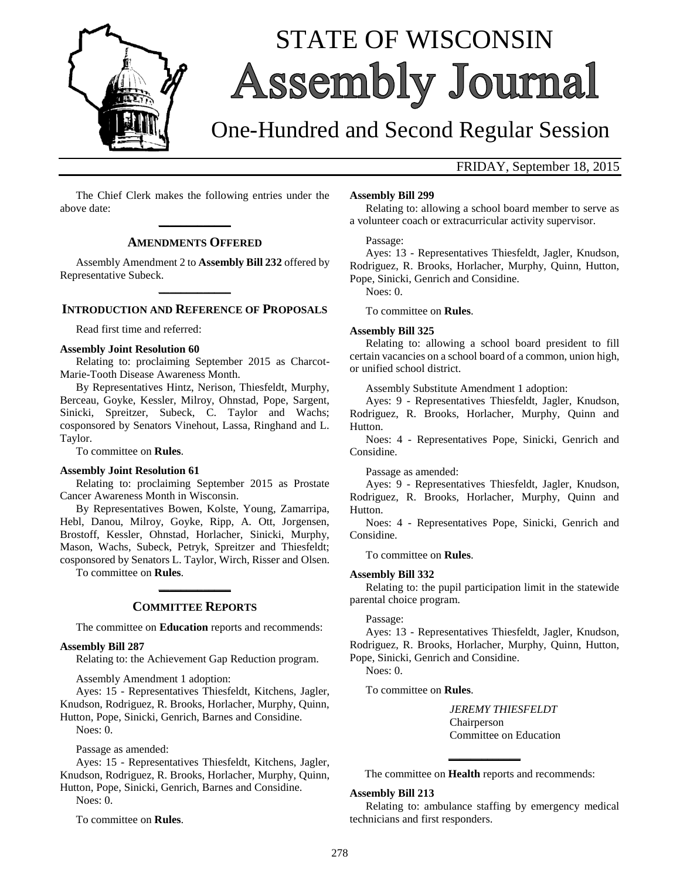

# STATE OF WISCONSIN **Assembly Journal**

# One-Hundred and Second Regular Session

### FRIDAY, September 18, 2015

The Chief Clerk makes the following entries under the above date: **\_\_\_\_\_\_\_\_\_\_\_\_\_**

#### **AMENDMENTS OFFERED**

Assembly Amendment 2 to **Assembly Bill 232** offered by Representative Subeck. **\_\_\_\_\_\_\_\_\_\_\_\_\_**

#### **INTRODUCTION AND REFERENCE OF PROPOSALS**

Read first time and referred:

#### **Assembly Joint Resolution 60**

Relating to: proclaiming September 2015 as Charcot-Marie-Tooth Disease Awareness Month.

By Representatives Hintz, Nerison, Thiesfeldt, Murphy, Berceau, Goyke, Kessler, Milroy, Ohnstad, Pope, Sargent, Sinicki, Spreitzer, Subeck, C. Taylor and Wachs; cosponsored by Senators Vinehout, Lassa, Ringhand and L. Taylor.

To committee on **Rules**.

#### **Assembly Joint Resolution 61**

Relating to: proclaiming September 2015 as Prostate Cancer Awareness Month in Wisconsin.

By Representatives Bowen, Kolste, Young, Zamarripa, Hebl, Danou, Milroy, Goyke, Ripp, A. Ott, Jorgensen, Brostoff, Kessler, Ohnstad, Horlacher, Sinicki, Murphy, Mason, Wachs, Subeck, Petryk, Spreitzer and Thiesfeldt; cosponsored by Senators L. Taylor, Wirch, Risser and Olsen.

To committee on **Rules**.

# **\_\_\_\_\_\_\_\_\_\_\_\_\_ COMMITTEE REPORTS**

The committee on **Education** reports and recommends:

#### **Assembly Bill 287**

Relating to: the Achievement Gap Reduction program.

Assembly Amendment 1 adoption:

Ayes: 15 - Representatives Thiesfeldt, Kitchens, Jagler, Knudson, Rodriguez, R. Brooks, Horlacher, Murphy, Quinn, Hutton, Pope, Sinicki, Genrich, Barnes and Considine.

Noes: 0.

Passage as amended:

Ayes: 15 - Representatives Thiesfeldt, Kitchens, Jagler, Knudson, Rodriguez, R. Brooks, Horlacher, Murphy, Quinn, Hutton, Pope, Sinicki, Genrich, Barnes and Considine.

Noes: 0.

To committee on **Rules**.

#### **Assembly Bill 299**

Relating to: allowing a school board member to serve as a volunteer coach or extracurricular activity supervisor.

#### Passage:

Ayes: 13 - Representatives Thiesfeldt, Jagler, Knudson, Rodriguez, R. Brooks, Horlacher, Murphy, Quinn, Hutton, Pope, Sinicki, Genrich and Considine.

Noes: 0.

To committee on **Rules**.

#### **Assembly Bill 325**

Relating to: allowing a school board president to fill certain vacancies on a school board of a common, union high, or unified school district.

Assembly Substitute Amendment 1 adoption:

Ayes: 9 - Representatives Thiesfeldt, Jagler, Knudson, Rodriguez, R. Brooks, Horlacher, Murphy, Quinn and Hutton.

Noes: 4 - Representatives Pope, Sinicki, Genrich and Considine.

Passage as amended:

Ayes: 9 - Representatives Thiesfeldt, Jagler, Knudson, Rodriguez, R. Brooks, Horlacher, Murphy, Quinn and Hutton.

Noes: 4 - Representatives Pope, Sinicki, Genrich and Considine.

To committee on **Rules**.

#### **Assembly Bill 332**

Relating to: the pupil participation limit in the statewide parental choice program.

Passage:

Ayes: 13 - Representatives Thiesfeldt, Jagler, Knudson, Rodriguez, R. Brooks, Horlacher, Murphy, Quinn, Hutton, Pope, Sinicki, Genrich and Considine.

Noes: 0.

To committee on **Rules**.

*JEREMY THIESFELDT* Chairperson Committee on Education

**\_\_\_\_\_\_\_\_\_\_\_\_\_** The committee on **Health** reports and recommends:

#### **Assembly Bill 213**

Relating to: ambulance staffing by emergency medical technicians and first responders.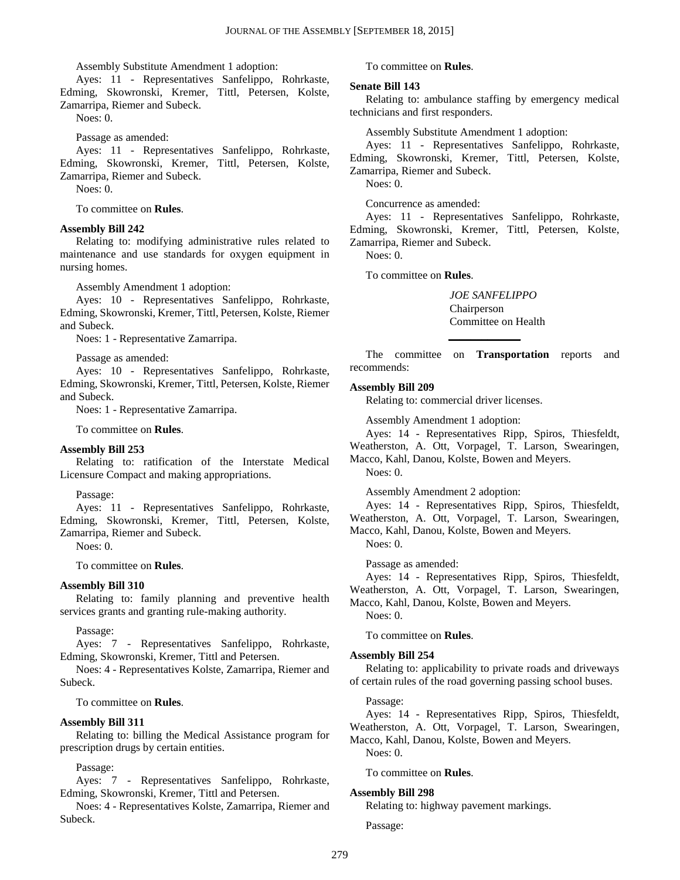Assembly Substitute Amendment 1 adoption:

Ayes: 11 - Representatives Sanfelippo, Rohrkaste, Edming, Skowronski, Kremer, Tittl, Petersen, Kolste, Zamarripa, Riemer and Subeck.

Noes: 0.

Passage as amended:

Ayes: 11 - Representatives Sanfelippo, Rohrkaste, Edming, Skowronski, Kremer, Tittl, Petersen, Kolste, Zamarripa, Riemer and Subeck.

Noes: 0.

To committee on **Rules**.

#### **Assembly Bill 242**

Relating to: modifying administrative rules related to maintenance and use standards for oxygen equipment in nursing homes.

Assembly Amendment 1 adoption:

Ayes: 10 - Representatives Sanfelippo, Rohrkaste, Edming, Skowronski, Kremer, Tittl, Petersen, Kolste, Riemer and Subeck.

Noes: 1 - Representative Zamarripa.

Passage as amended:

Ayes: 10 - Representatives Sanfelippo, Rohrkaste, Edming, Skowronski, Kremer, Tittl, Petersen, Kolste, Riemer and Subeck.

Noes: 1 - Representative Zamarripa.

To committee on **Rules**.

#### **Assembly Bill 253**

Relating to: ratification of the Interstate Medical Licensure Compact and making appropriations.

#### Passage:

Ayes: 11 - Representatives Sanfelippo, Rohrkaste, Edming, Skowronski, Kremer, Tittl, Petersen, Kolste, Zamarripa, Riemer and Subeck.

Noes: 0.

To committee on **Rules**.

#### **Assembly Bill 310**

Relating to: family planning and preventive health services grants and granting rule-making authority.

Passage:

Ayes: 7 - Representatives Sanfelippo, Rohrkaste, Edming, Skowronski, Kremer, Tittl and Petersen.

Noes: 4 - Representatives Kolste, Zamarripa, Riemer and Subeck.

To committee on **Rules**.

#### **Assembly Bill 311**

Relating to: billing the Medical Assistance program for prescription drugs by certain entities.

Passage:

Ayes: 7 - Representatives Sanfelippo, Rohrkaste, Edming, Skowronski, Kremer, Tittl and Petersen.

Noes: 4 - Representatives Kolste, Zamarripa, Riemer and Subeck.

To committee on **Rules**.

#### **Senate Bill 143**

Relating to: ambulance staffing by emergency medical technicians and first responders.

Assembly Substitute Amendment 1 adoption:

Ayes: 11 - Representatives Sanfelippo, Rohrkaste, Edming, Skowronski, Kremer, Tittl, Petersen, Kolste, Zamarripa, Riemer and Subeck.

Noes: 0.

Concurrence as amended:

Ayes: 11 - Representatives Sanfelippo, Rohrkaste, Edming, Skowronski, Kremer, Tittl, Petersen, Kolste, Zamarripa, Riemer and Subeck.

Noes: 0.

To committee on **Rules**.

*JOE SANFELIPPO* Chairperson Committee on Health

The committee on **Transportation** reports and recommends:

**\_\_\_\_\_\_\_\_\_\_\_\_\_**

#### **Assembly Bill 209**

Relating to: commercial driver licenses.

Assembly Amendment 1 adoption:

Ayes: 14 - Representatives Ripp, Spiros, Thiesfeldt,

Weatherston, A. Ott, Vorpagel, T. Larson, Swearingen,

Macco, Kahl, Danou, Kolste, Bowen and Meyers. Noes: 0.

Assembly Amendment 2 adoption:

Ayes: 14 - Representatives Ripp, Spiros, Thiesfeldt,

Weatherston, A. Ott, Vorpagel, T. Larson, Swearingen,

Macco, Kahl, Danou, Kolste, Bowen and Meyers.

Noes: 0.

Passage as amended:

Ayes: 14 - Representatives Ripp, Spiros, Thiesfeldt,

Weatherston, A. Ott, Vorpagel, T. Larson, Swearingen, Macco, Kahl, Danou, Kolste, Bowen and Meyers.

Noes: 0.

To committee on **Rules**.

#### **Assembly Bill 254**

Relating to: applicability to private roads and driveways of certain rules of the road governing passing school buses.

#### Passage:

Ayes: 14 - Representatives Ripp, Spiros, Thiesfeldt, Weatherston, A. Ott, Vorpagel, T. Larson, Swearingen,

Macco, Kahl, Danou, Kolste, Bowen and Meyers. Noes: 0.

To committee on **Rules**.

#### **Assembly Bill 298**

Relating to: highway pavement markings.

Passage: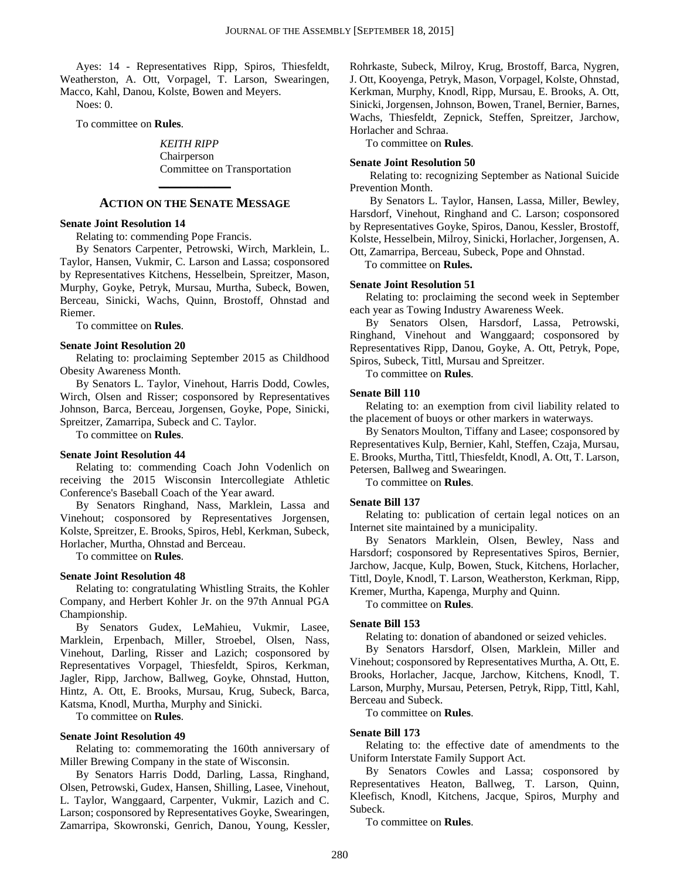Ayes: 14 - Representatives Ripp, Spiros, Thiesfeldt, Weatherston, A. Ott, Vorpagel, T. Larson, Swearingen, Macco, Kahl, Danou, Kolste, Bowen and Meyers.

Noes: 0.

To committee on **Rules**.

*KEITH RIPP* Chairperson Committee on Transportation

# **\_\_\_\_\_\_\_\_\_\_\_\_\_ ACTION ON THE SENATE MESSAGE**

#### **Senate Joint Resolution 14**

Relating to: commending Pope Francis.

By Senators Carpenter, Petrowski, Wirch, Marklein, L. Taylor, Hansen, Vukmir, C. Larson and Lassa; cosponsored by Representatives Kitchens, Hesselbein, Spreitzer, Mason, Murphy, Goyke, Petryk, Mursau, Murtha, Subeck, Bowen, Berceau, Sinicki, Wachs, Quinn, Brostoff, Ohnstad and Riemer.

To committee on **Rules**.

#### **Senate Joint Resolution 20**

Relating to: proclaiming September 2015 as Childhood Obesity Awareness Month.

By Senators L. Taylor, Vinehout, Harris Dodd, Cowles, Wirch, Olsen and Risser; cosponsored by Representatives Johnson, Barca, Berceau, Jorgensen, Goyke, Pope, Sinicki, Spreitzer, Zamarripa, Subeck and C. Taylor.

To committee on **Rules**.

#### **Senate Joint Resolution 44**

Relating to: commending Coach John Vodenlich on receiving the 2015 Wisconsin Intercollegiate Athletic Conference's Baseball Coach of the Year award.

By Senators Ringhand, Nass, Marklein, Lassa and Vinehout; cosponsored by Representatives Jorgensen, Kolste, Spreitzer, E. Brooks, Spiros, Hebl, Kerkman, Subeck, Horlacher, Murtha, Ohnstad and Berceau.

To committee on **Rules**.

#### **Senate Joint Resolution 48**

Relating to: congratulating Whistling Straits, the Kohler Company, and Herbert Kohler Jr. on the 97th Annual PGA Championship.

By Senators Gudex, LeMahieu, Vukmir, Lasee, Marklein, Erpenbach, Miller, Stroebel, Olsen, Nass, Vinehout, Darling, Risser and Lazich; cosponsored by Representatives Vorpagel, Thiesfeldt, Spiros, Kerkman, Jagler, Ripp, Jarchow, Ballweg, Goyke, Ohnstad, Hutton, Hintz, A. Ott, E. Brooks, Mursau, Krug, Subeck, Barca, Katsma, Knodl, Murtha, Murphy and Sinicki.

To committee on **Rules**.

#### **Senate Joint Resolution 49**

Relating to: commemorating the 160th anniversary of Miller Brewing Company in the state of Wisconsin.

By Senators Harris Dodd, Darling, Lassa, Ringhand, Olsen, Petrowski, Gudex, Hansen, Shilling, Lasee, Vinehout, L. Taylor, Wanggaard, Carpenter, Vukmir, Lazich and C. Larson; cosponsored by Representatives Goyke, Swearingen, Zamarripa, Skowronski, Genrich, Danou, Young, Kessler, Rohrkaste, Subeck, Milroy, Krug, Brostoff, Barca, Nygren, J. Ott, Kooyenga, Petryk, Mason, Vorpagel, Kolste, Ohnstad, Kerkman, Murphy, Knodl, Ripp, Mursau, E. Brooks, A. Ott, Sinicki, Jorgensen, Johnson, Bowen, Tranel, Bernier, Barnes, Wachs, Thiesfeldt, Zepnick, Steffen, Spreitzer, Jarchow, Horlacher and Schraa.

To committee on **Rules**.

#### **Senate Joint Resolution 50**

Relating to: recognizing September as National Suicide Prevention Month.

By Senators L. Taylor, Hansen, Lassa, Miller, Bewley, Harsdorf, Vinehout, Ringhand and C. Larson; cosponsored by Representatives Goyke, Spiros, Danou, Kessler, Brostoff, Kolste, Hesselbein, Milroy, Sinicki, Horlacher, Jorgensen, A.

Ott, Zamarripa, Berceau, Subeck, Pope and Ohnstad.

To committee on **Rules.**

#### **Senate Joint Resolution 51**

Relating to: proclaiming the second week in September each year as Towing Industry Awareness Week.

By Senators Olsen, Harsdorf, Lassa, Petrowski, Ringhand, Vinehout and Wanggaard; cosponsored by Representatives Ripp, Danou, Goyke, A. Ott, Petryk, Pope, Spiros, Subeck, Tittl, Mursau and Spreitzer.

To committee on **Rules**.

#### **Senate Bill 110**

Relating to: an exemption from civil liability related to the placement of buoys or other markers in waterways.

By Senators Moulton, Tiffany and Lasee; cosponsored by Representatives Kulp, Bernier, Kahl, Steffen, Czaja, Mursau, E. Brooks, Murtha, Tittl, Thiesfeldt, Knodl, A. Ott, T. Larson, Petersen, Ballweg and Swearingen.

To committee on **Rules**.

#### **Senate Bill 137**

Relating to: publication of certain legal notices on an Internet site maintained by a municipality.

By Senators Marklein, Olsen, Bewley, Nass and Harsdorf; cosponsored by Representatives Spiros, Bernier, Jarchow, Jacque, Kulp, Bowen, Stuck, Kitchens, Horlacher, Tittl, Doyle, Knodl, T. Larson, Weatherston, Kerkman, Ripp, Kremer, Murtha, Kapenga, Murphy and Quinn.

To committee on **Rules**.

#### **Senate Bill 153**

Relating to: donation of abandoned or seized vehicles.

By Senators Harsdorf, Olsen, Marklein, Miller and Vinehout; cosponsored by Representatives Murtha, A. Ott, E. Brooks, Horlacher, Jacque, Jarchow, Kitchens, Knodl, T. Larson, Murphy, Mursau, Petersen, Petryk, Ripp, Tittl, Kahl, Berceau and Subeck.

To committee on **Rules**.

#### **Senate Bill 173**

Relating to: the effective date of amendments to the Uniform Interstate Family Support Act.

By Senators Cowles and Lassa; cosponsored by Representatives Heaton, Ballweg, T. Larson, Quinn, Kleefisch, Knodl, Kitchens, Jacque, Spiros, Murphy and Subeck.

To committee on **Rules**.